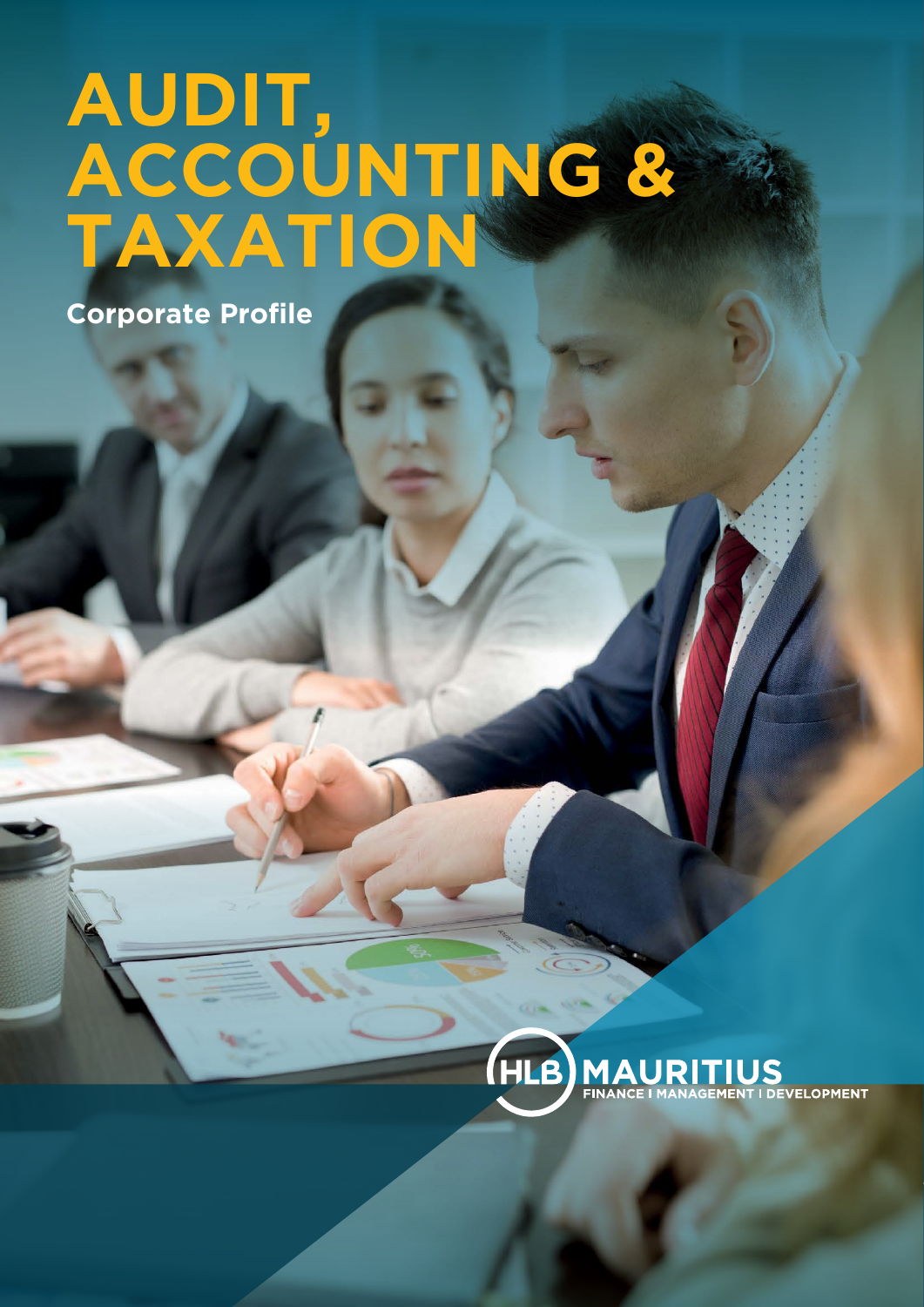# **AUDIT, ACCOUNTING & TAXATION**

**Corporate Profile**

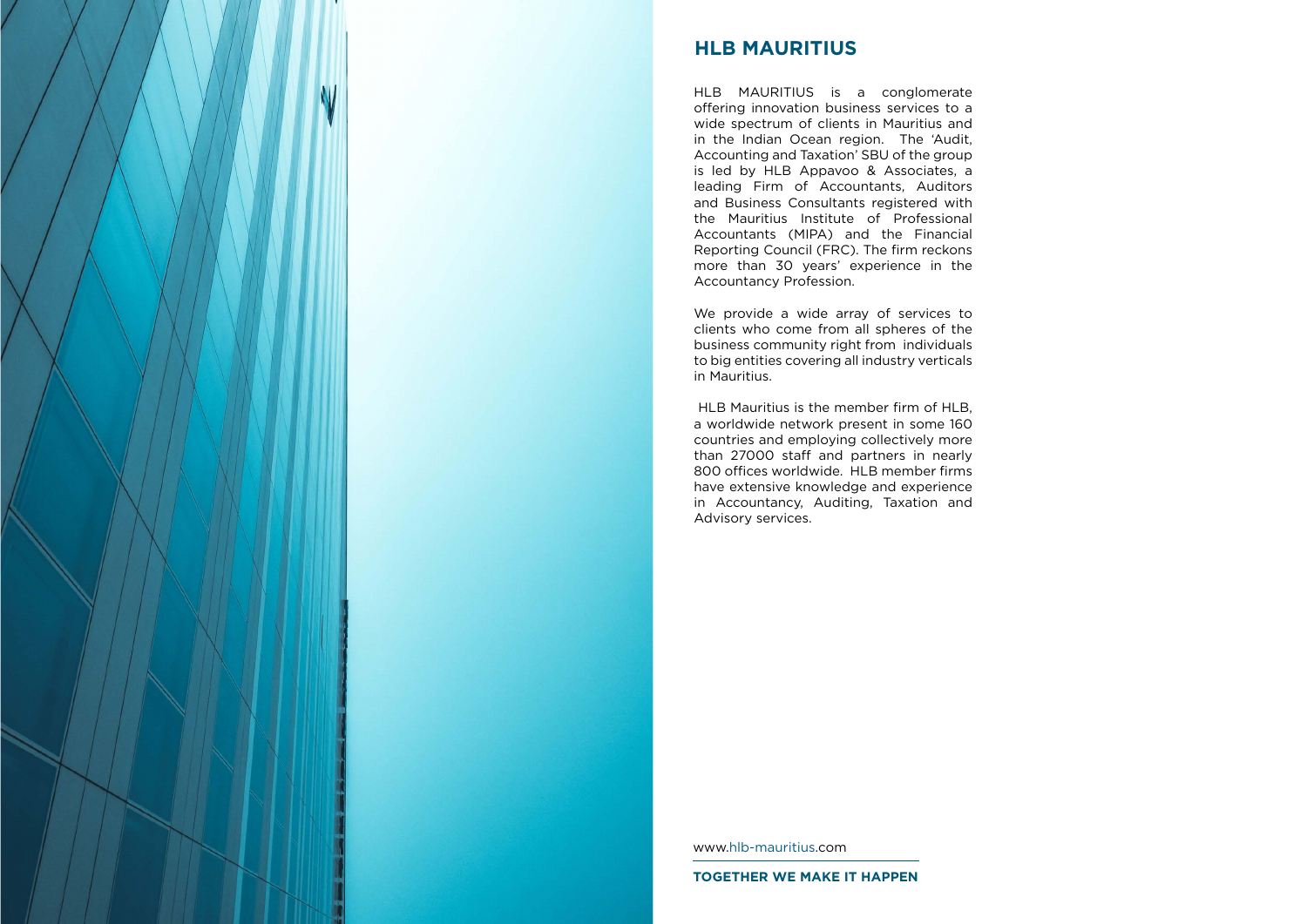

# **HLB MAURITIUS**

HLB MAURITIUS is a conglomerate offering innovation business services to a wide spectrum of clients in Mauritius and in the Indian Ocean region. The 'Audit, Accounting and Taxation' SBU of the group is led by HLB Appavoo & Associates, a leading Firm of Accountants, Auditors and Business Consultants registered with the Mauritius Institute of Professional Accountants (MIPA) and the Financial Reporting Council (FRC). The firm reckons more than 30 years' experience in the Accountancy Profession.

We provide a wide array of services to clients who come from all spheres of the business community right from individuals to big entities covering all industry verticals in Mauritius.

 HLB Mauritius is the member firm of HLB, a worldwide network present in some 160 countries and employing collectively more than 27000 staff and partners in nearly 800 offices worldwide. HLB member firms have extensive knowledge and experience in Accountancy, Auditing, Taxation and Advisory services.

[www.hlb-mauritius.com](http://www.hlb-mauritius.com)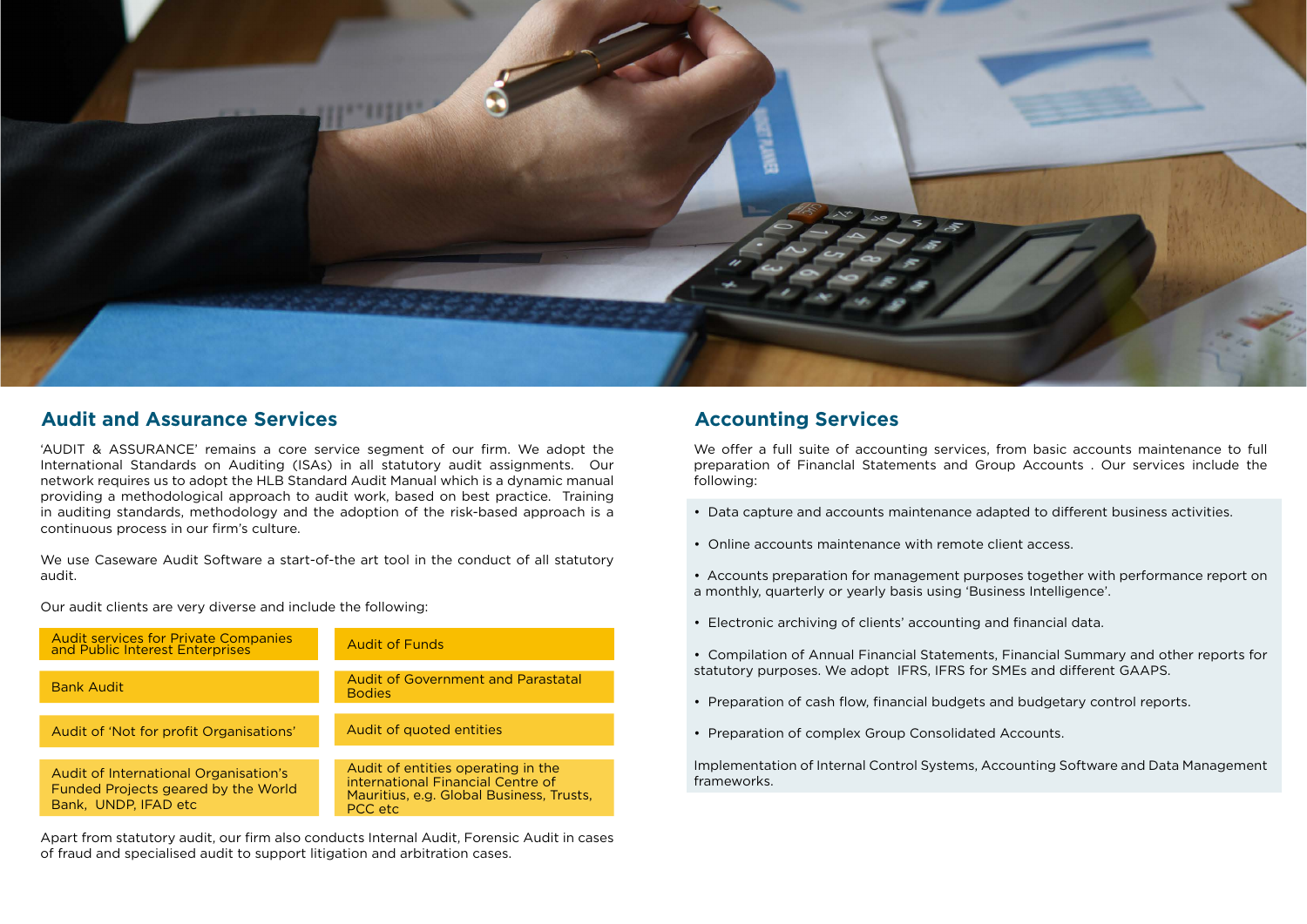

#### Audit and Assurance Services **Audit and Assurance Services Accounting Services**

'AUDIT & ASSURANCE' remains a core service segment of our firm. We adopt the International Standards on Auditing (ISAs) in all statutory audit assignments. Our network requires us to adopt the HLB Standard Audit Manual which is a dynamic manual providing a methodological approach to audit work, based on best practice. Training in auditing standards, methodology and the adoption of the risk-based approach is a continuous process in our firm's culture.

We use Caseware Audit Software a start-of-the art tool in the conduct of all statutory audit.

Our audit clients are very diverse and include the following:

We offer a full suite of accounting services, from basic accounts maintenance to full preparation of Financlal Statements and Group Accounts . Our services include the following:

| <b>Audit services for Private Companies</b><br>and Public Interest Enterprises                       | <b>Audit of Funds</b>                                                                                                          |
|------------------------------------------------------------------------------------------------------|--------------------------------------------------------------------------------------------------------------------------------|
| <b>Bank Audit</b>                                                                                    | <b>Audit of Government and Parastatal</b><br><b>Bodies</b>                                                                     |
| Audit of 'Not for profit Organisations'                                                              | Audit of quoted entities                                                                                                       |
| Audit of International Organisation's<br>Funded Projects geared by the World<br>Bank, UNDP, IFAD etc | Audit of entities operating in the<br>international Financial Centre of<br>Mauritius, e.g. Global Business, Trusts,<br>PCC etc |

- Data capture and accounts maintenance adapted to different business activities.
- Online accounts maintenance with remote client access.
- Accounts preparation for management purposes together with performance report on a monthly, quarterly or yearly basis using 'Business Intelligence'.
- Electronic archiving of clients' accounting and financial data.
- statutory purposes. We adopt IFRS, IFRS for SMEs and different GAAPS.
- Preparation of cash flow, financial budgets and budgetary control reports.
- Preparation of complex Group Consolidated Accounts.

• Compilation of Annual Financial Statements, Financial Summary and other reports for

Implementation of Internal Control Systems, Accounting Software and Data Management frameworks.

Apart from statutory audit, our firm also conducts Internal Audit, Forensic Audit in cases of fraud and specialised audit to support litigation and arbitration cases.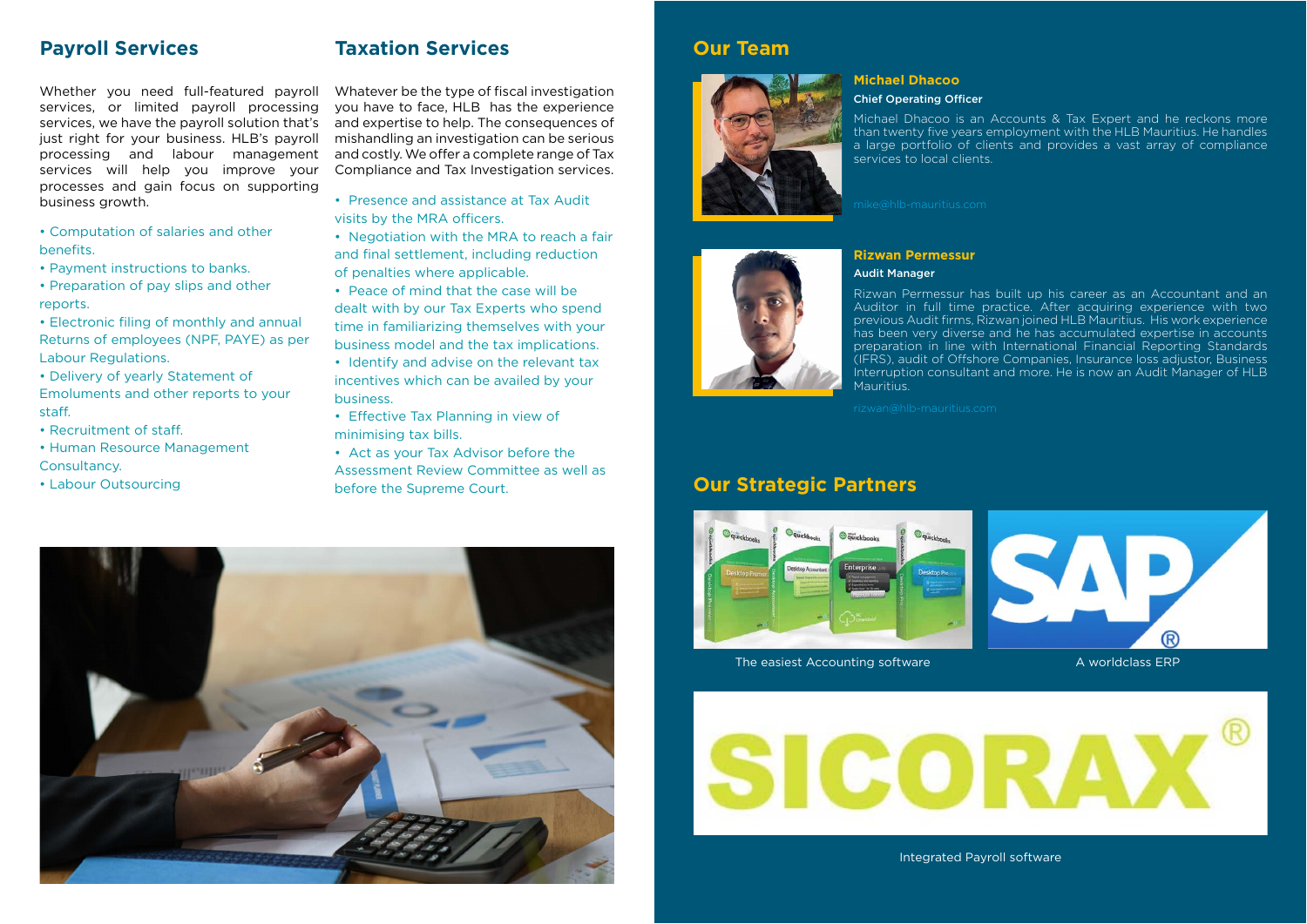#### **Payroll Services**

# **Our Strategic Partners**

#### **Taxation Services**

Whether you need full-featured payroll services, or limited payroll processing services, we have the payroll solution that's just right for your business. HLB's payroll processing and labour management services will help you improve your processes and gain focus on supporting business growth.

Whatever be the type of fiscal investigation you have to face, HLB has the experience and expertise to help. The consequences of mishandling an investigation can be serious and costly. We offer a complete range of Tax Compliance and Tax Investigation services.

• Computation of salaries and other benefits.

- Payment instructions to banks.
- Preparation of pay slips and other reports.

• Electronic filing of monthly and annual Returns of employees (NPF, PAYE) as per Labour Regulations.

• Delivery of yearly Statement of Emoluments and other reports to your staff.

- Recruitment of staff.
- Human Resource Management Consultancy.
- Labour Outsourcing
- Presence and assistance at Tax Audit visits by the MRA officers.
- Negotiation with the MRA to reach a fair and final settlement, including reduction of penalties where applicable.
- Peace of mind that the case will be dealt with by our Tax Experts who spend time in familiarizing themselves with your business model and the tax implications.
- Identify and advise on the relevant tax incentives which can be availed by your business.
- Effective Tax Planning in view of minimising tax bills.
- Act as your Tax Advisor before the Assessment Review Committee as well as before the Supreme Court.





The easiest Accounting software



Integrated Payroll software



**Michael Dhacoo**  Chief Operating Officer

#### **Rizwan Permessur** Audit Manager

**Mauritius** 

Michael Dhacoo is an Accounts & Tax Expert and he reckons more than twenty five years employment with the HLB Mauritius. He handles a large portfolio of clients and provides a vast array of compliance services to local clients.

Rizwan Permessur has built up his career as an Accountant and an Auditor in full time practice. After acquiring experience with two previous Audit firms, Rizwan joined HLB Mauritius. His work experience has been very diverse and he has accumulated expertise in accounts preparation in line with International Financial Reporting Standards (IFRS), audit of Offshore Companies, Insurance loss adjustor, Business Interruption consultant and more. He is now an Audit Manager of HLB

### **Our Team**